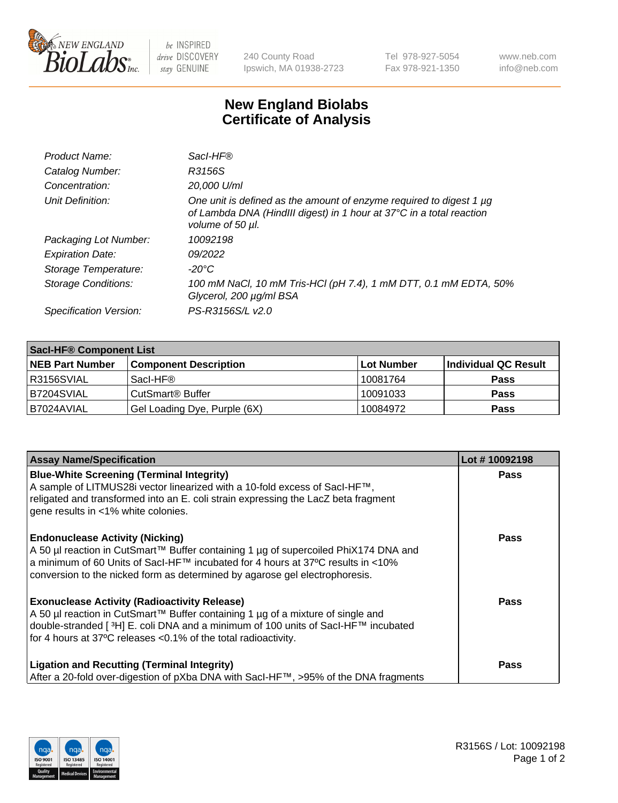

 $be$  INSPIRED drive DISCOVERY stay GENUINE

240 County Road Ipswich, MA 01938-2723 Tel 978-927-5054 Fax 978-921-1350 www.neb.com info@neb.com

## **New England Biolabs Certificate of Analysis**

| Product Name:              | Sacl-HF®                                                                                                                                                        |
|----------------------------|-----------------------------------------------------------------------------------------------------------------------------------------------------------------|
| Catalog Number:            | R3156S                                                                                                                                                          |
| Concentration:             | 20,000 U/ml                                                                                                                                                     |
| Unit Definition:           | One unit is defined as the amount of enzyme required to digest 1 µg<br>of Lambda DNA (HindIII digest) in 1 hour at 37°C in a total reaction<br>volume of 50 µl. |
| Packaging Lot Number:      | 10092198                                                                                                                                                        |
| <b>Expiration Date:</b>    | 09/2022                                                                                                                                                         |
| Storage Temperature:       | -20°C                                                                                                                                                           |
| <b>Storage Conditions:</b> | 100 mM NaCl, 10 mM Tris-HCl (pH 7.4), 1 mM DTT, 0.1 mM EDTA, 50%<br>Glycerol, 200 µg/ml BSA                                                                     |
| Specification Version:     | PS-R3156S/L v2.0                                                                                                                                                |

| <b>Saci-HF® Component List</b> |                              |            |                      |  |
|--------------------------------|------------------------------|------------|----------------------|--|
| <b>NEB Part Number</b>         | <b>Component Description</b> | Lot Number | Individual QC Result |  |
| I R3156SVIAL                   | Sacl-HF®                     | 10081764   | <b>Pass</b>          |  |
| B7204SVIAL                     | CutSmart <sup>®</sup> Buffer | 10091033   | <b>Pass</b>          |  |
| B7024AVIAL                     | Gel Loading Dye, Purple (6X) | 10084972   | <b>Pass</b>          |  |

| <b>Assay Name/Specification</b>                                                                                                                                                                                                                                                                            | Lot #10092198 |
|------------------------------------------------------------------------------------------------------------------------------------------------------------------------------------------------------------------------------------------------------------------------------------------------------------|---------------|
| <b>Blue-White Screening (Terminal Integrity)</b><br>A sample of LITMUS28i vector linearized with a 10-fold excess of SacI-HF™,<br>religated and transformed into an E. coli strain expressing the LacZ beta fragment<br>gene results in <1% white colonies.                                                | <b>Pass</b>   |
| <b>Endonuclease Activity (Nicking)</b><br>A 50 µl reaction in CutSmart™ Buffer containing 1 µg of supercoiled PhiX174 DNA and<br>a minimum of 60 Units of Sacl-HF™ incubated for 4 hours at 37°C results in <10%<br>conversion to the nicked form as determined by agarose gel electrophoresis.            | Pass          |
| <b>Exonuclease Activity (Radioactivity Release)</b><br>A 50 µl reaction in CutSmart™ Buffer containing 1 µg of a mixture of single and<br>double-stranded [ <sup>3</sup> H] E. coli DNA and a minimum of 100 units of Sacl-HF™ incubated<br>for 4 hours at 37°C releases <0.1% of the total radioactivity. | <b>Pass</b>   |
| <b>Ligation and Recutting (Terminal Integrity)</b><br>After a 20-fold over-digestion of pXba DNA with Sacl-HF™, >95% of the DNA fragments                                                                                                                                                                  | Pass          |